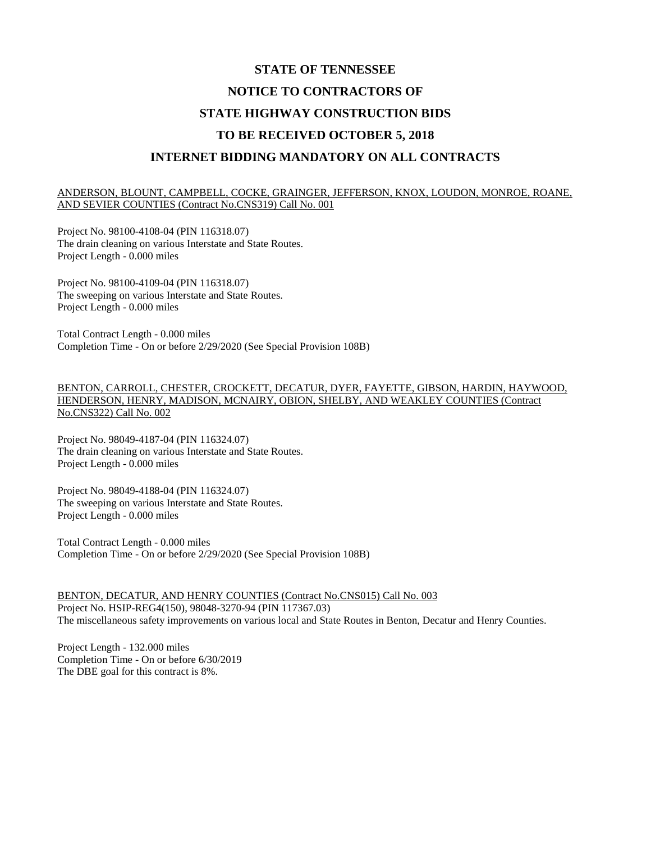# **STATE OF TENNESSEE NOTICE TO CONTRACTORS OF STATE HIGHWAY CONSTRUCTION BIDS TO BE RECEIVED OCTOBER 5, 2018 INTERNET BIDDING MANDATORY ON ALL CONTRACTS**

#### ANDERSON, BLOUNT, CAMPBELL, COCKE, GRAINGER, JEFFERSON, KNOX, LOUDON, MONROE, ROANE, AND SEVIER COUNTIES (Contract No.CNS319) Call No. 001

Project No. 98100-4108-04 (PIN 116318.07) The drain cleaning on various Interstate and State Routes. Project Length - 0.000 miles

Project No. 98100-4109-04 (PIN 116318.07) The sweeping on various Interstate and State Routes. Project Length - 0.000 miles

Total Contract Length - 0.000 miles Completion Time - On or before 2/29/2020 (See Special Provision 108B)

BENTON, CARROLL, CHESTER, CROCKETT, DECATUR, DYER, FAYETTE, GIBSON, HARDIN, HAYWOOD, HENDERSON, HENRY, MADISON, MCNAIRY, OBION, SHELBY, AND WEAKLEY COUNTIES (Contract No.CNS322) Call No. 002

Project No. 98049-4187-04 (PIN 116324.07) The drain cleaning on various Interstate and State Routes. Project Length - 0.000 miles

Project No. 98049-4188-04 (PIN 116324.07) The sweeping on various Interstate and State Routes. Project Length - 0.000 miles

Total Contract Length - 0.000 miles Completion Time - On or before 2/29/2020 (See Special Provision 108B)

BENTON, DECATUR, AND HENRY COUNTIES (Contract No.CNS015) Call No. 003 Project No. HSIP-REG4(150), 98048-3270-94 (PIN 117367.03) The miscellaneous safety improvements on various local and State Routes in Benton, Decatur and Henry Counties.

Project Length - 132.000 miles Completion Time - On or before 6/30/2019 The DBE goal for this contract is 8%.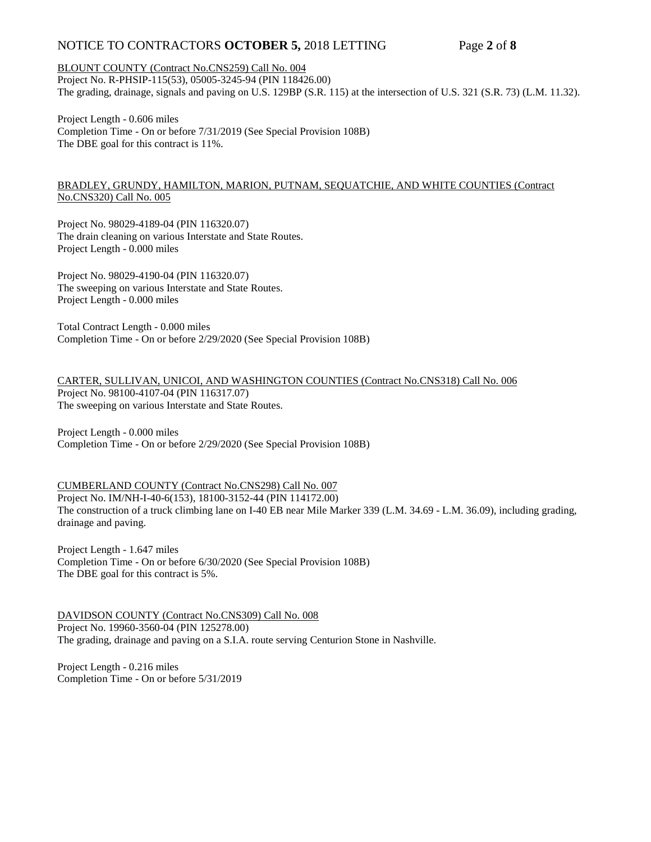## NOTICE TO CONTRACTORS **OCTOBER 5,** 2018 LETTING Page **2** of **8**

#### BLOUNT COUNTY (Contract No.CNS259) Call No. 004

Project No. R-PHSIP-115(53), 05005-3245-94 (PIN 118426.00) The grading, drainage, signals and paving on U.S. 129BP (S.R. 115) at the intersection of U.S. 321 (S.R. 73) (L.M. 11.32).

Project Length - 0.606 miles Completion Time - On or before 7/31/2019 (See Special Provision 108B) The DBE goal for this contract is 11%.

#### BRADLEY, GRUNDY, HAMILTON, MARION, PUTNAM, SEQUATCHIE, AND WHITE COUNTIES (Contract No.CNS320) Call No. 005

Project No. 98029-4189-04 (PIN 116320.07) The drain cleaning on various Interstate and State Routes. Project Length - 0.000 miles

Project No. 98029-4190-04 (PIN 116320.07) The sweeping on various Interstate and State Routes. Project Length - 0.000 miles

Total Contract Length - 0.000 miles Completion Time - On or before 2/29/2020 (See Special Provision 108B)

CARTER, SULLIVAN, UNICOI, AND WASHINGTON COUNTIES (Contract No.CNS318) Call No. 006 Project No. 98100-4107-04 (PIN 116317.07) The sweeping on various Interstate and State Routes.

Project Length - 0.000 miles Completion Time - On or before 2/29/2020 (See Special Provision 108B)

#### CUMBERLAND COUNTY (Contract No.CNS298) Call No. 007

Project No. IM/NH-I-40-6(153), 18100-3152-44 (PIN 114172.00) The construction of a truck climbing lane on I-40 EB near Mile Marker 339 (L.M. 34.69 - L.M. 36.09), including grading, drainage and paving.

Project Length - 1.647 miles Completion Time - On or before 6/30/2020 (See Special Provision 108B) The DBE goal for this contract is 5%.

DAVIDSON COUNTY (Contract No.CNS309) Call No. 008 Project No. 19960-3560-04 (PIN 125278.00) The grading, drainage and paving on a S.I.A. route serving Centurion Stone in Nashville.

Project Length - 0.216 miles Completion Time - On or before 5/31/2019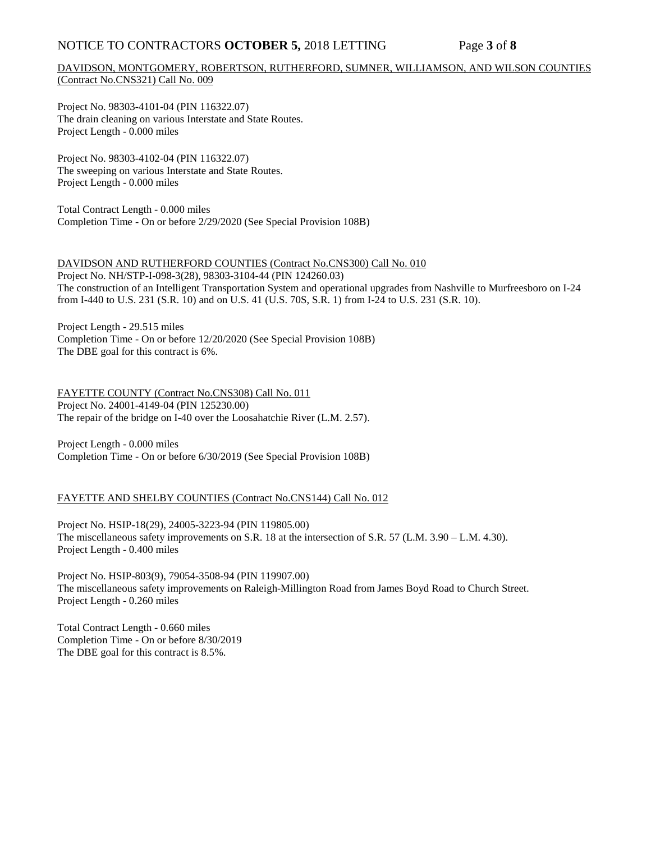## NOTICE TO CONTRACTORS **OCTOBER 5,** 2018 LETTING Page **3** of **8**

## DAVIDSON, MONTGOMERY, ROBERTSON, RUTHERFORD, SUMNER, WILLIAMSON, AND WILSON COUNTIES (Contract No.CNS321) Call No. 009

Project No. 98303-4101-04 (PIN 116322.07) The drain cleaning on various Interstate and State Routes. Project Length - 0.000 miles

Project No. 98303-4102-04 (PIN 116322.07) The sweeping on various Interstate and State Routes. Project Length - 0.000 miles

Total Contract Length - 0.000 miles Completion Time - On or before 2/29/2020 (See Special Provision 108B)

DAVIDSON AND RUTHERFORD COUNTIES (Contract No.CNS300) Call No. 010 Project No. NH/STP-I-098-3(28), 98303-3104-44 (PIN 124260.03) The construction of an Intelligent Transportation System and operational upgrades from Nashville to Murfreesboro on I-24 from I-440 to U.S. 231 (S.R. 10) and on U.S. 41 (U.S. 70S, S.R. 1) from I-24 to U.S. 231 (S.R. 10).

Project Length - 29.515 miles Completion Time - On or before 12/20/2020 (See Special Provision 108B) The DBE goal for this contract is 6%.

FAYETTE COUNTY (Contract No.CNS308) Call No. 011 Project No. 24001-4149-04 (PIN 125230.00) The repair of the bridge on I-40 over the Loosahatchie River (L.M. 2.57).

Project Length - 0.000 miles Completion Time - On or before 6/30/2019 (See Special Provision 108B)

## FAYETTE AND SHELBY COUNTIES (Contract No.CNS144) Call No. 012

Project No. HSIP-18(29), 24005-3223-94 (PIN 119805.00) The miscellaneous safety improvements on S.R. 18 at the intersection of S.R. 57 (L.M. 3.90 – L.M. 4.30). Project Length - 0.400 miles

Project No. HSIP-803(9), 79054-3508-94 (PIN 119907.00) The miscellaneous safety improvements on Raleigh-Millington Road from James Boyd Road to Church Street. Project Length - 0.260 miles

Total Contract Length - 0.660 miles Completion Time - On or before 8/30/2019 The DBE goal for this contract is 8.5%.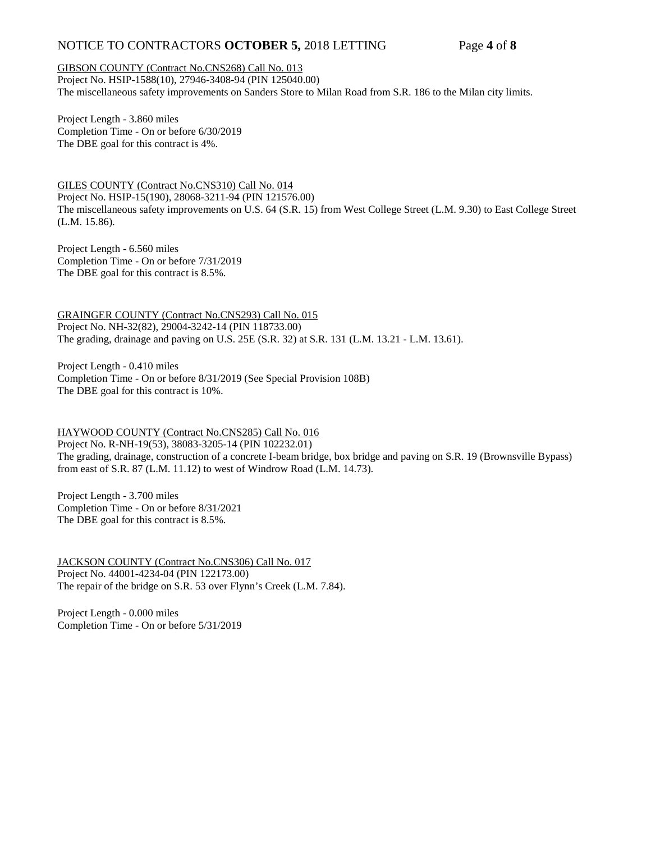## NOTICE TO CONTRACTORS **OCTOBER 5,** 2018 LETTING Page **4** of **8**

#### GIBSON COUNTY (Contract No.CNS268) Call No. 013

Project No. HSIP-1588(10), 27946-3408-94 (PIN 125040.00) The miscellaneous safety improvements on Sanders Store to Milan Road from S.R. 186 to the Milan city limits.

Project Length - 3.860 miles Completion Time - On or before 6/30/2019 The DBE goal for this contract is 4%.

GILES COUNTY (Contract No.CNS310) Call No. 014 Project No. HSIP-15(190), 28068-3211-94 (PIN 121576.00) The miscellaneous safety improvements on U.S. 64 (S.R. 15) from West College Street (L.M. 9.30) to East College Street (L.M. 15.86).

Project Length - 6.560 miles Completion Time - On or before 7/31/2019 The DBE goal for this contract is 8.5%.

GRAINGER COUNTY (Contract No.CNS293) Call No. 015 Project No. NH-32(82), 29004-3242-14 (PIN 118733.00) The grading, drainage and paving on U.S. 25E (S.R. 32) at S.R. 131 (L.M. 13.21 - L.M. 13.61).

Project Length - 0.410 miles Completion Time - On or before 8/31/2019 (See Special Provision 108B) The DBE goal for this contract is 10%.

#### HAYWOOD COUNTY (Contract No.CNS285) Call No. 016

Project No. R-NH-19(53), 38083-3205-14 (PIN 102232.01) The grading, drainage, construction of a concrete I-beam bridge, box bridge and paving on S.R. 19 (Brownsville Bypass) from east of S.R. 87 (L.M. 11.12) to west of Windrow Road (L.M. 14.73).

Project Length - 3.700 miles Completion Time - On or before 8/31/2021 The DBE goal for this contract is 8.5%.

JACKSON COUNTY (Contract No.CNS306) Call No. 017 Project No. 44001-4234-04 (PIN 122173.00) The repair of the bridge on S.R. 53 over Flynn's Creek (L.M. 7.84).

Project Length - 0.000 miles Completion Time - On or before 5/31/2019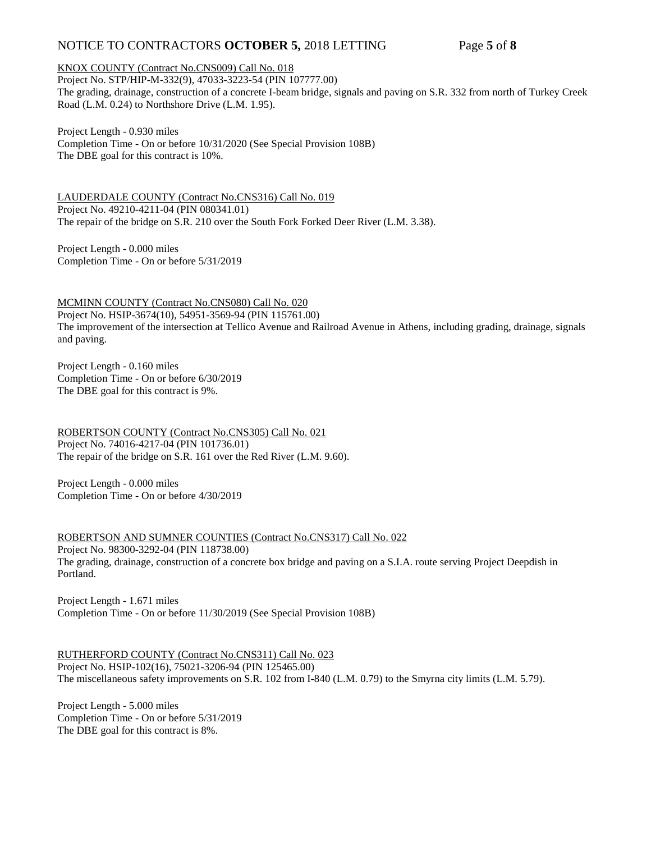# NOTICE TO CONTRACTORS **OCTOBER 5,** 2018 LETTING Page **5** of **8**

KNOX COUNTY (Contract No.CNS009) Call No. 018

Project No. STP/HIP-M-332(9), 47033-3223-54 (PIN 107777.00) The grading, drainage, construction of a concrete I-beam bridge, signals and paving on S.R. 332 from north of Turkey Creek Road (L.M. 0.24) to Northshore Drive (L.M. 1.95).

Project Length - 0.930 miles Completion Time - On or before 10/31/2020 (See Special Provision 108B) The DBE goal for this contract is 10%.

LAUDERDALE COUNTY (Contract No.CNS316) Call No. 019 Project No. 49210-4211-04 (PIN 080341.01) The repair of the bridge on S.R. 210 over the South Fork Forked Deer River (L.M. 3.38).

Project Length - 0.000 miles Completion Time - On or before 5/31/2019

MCMINN COUNTY (Contract No.CNS080) Call No. 020 Project No. HSIP-3674(10), 54951-3569-94 (PIN 115761.00) The improvement of the intersection at Tellico Avenue and Railroad Avenue in Athens, including grading, drainage, signals and paving.

Project Length - 0.160 miles Completion Time - On or before 6/30/2019 The DBE goal for this contract is 9%.

ROBERTSON COUNTY (Contract No.CNS305) Call No. 021 Project No. 74016-4217-04 (PIN 101736.01) The repair of the bridge on S.R. 161 over the Red River (L.M. 9.60).

Project Length - 0.000 miles Completion Time - On or before 4/30/2019

ROBERTSON AND SUMNER COUNTIES (Contract No.CNS317) Call No. 022 Project No. 98300-3292-04 (PIN 118738.00) The grading, drainage, construction of a concrete box bridge and paving on a S.I.A. route serving Project Deepdish in Portland.

Project Length - 1.671 miles Completion Time - On or before 11/30/2019 (See Special Provision 108B)

RUTHERFORD COUNTY (Contract No.CNS311) Call No. 023 Project No. HSIP-102(16), 75021-3206-94 (PIN 125465.00) The miscellaneous safety improvements on S.R. 102 from I-840 (L.M. 0.79) to the Smyrna city limits (L.M. 5.79).

Project Length - 5.000 miles Completion Time - On or before 5/31/2019 The DBE goal for this contract is 8%.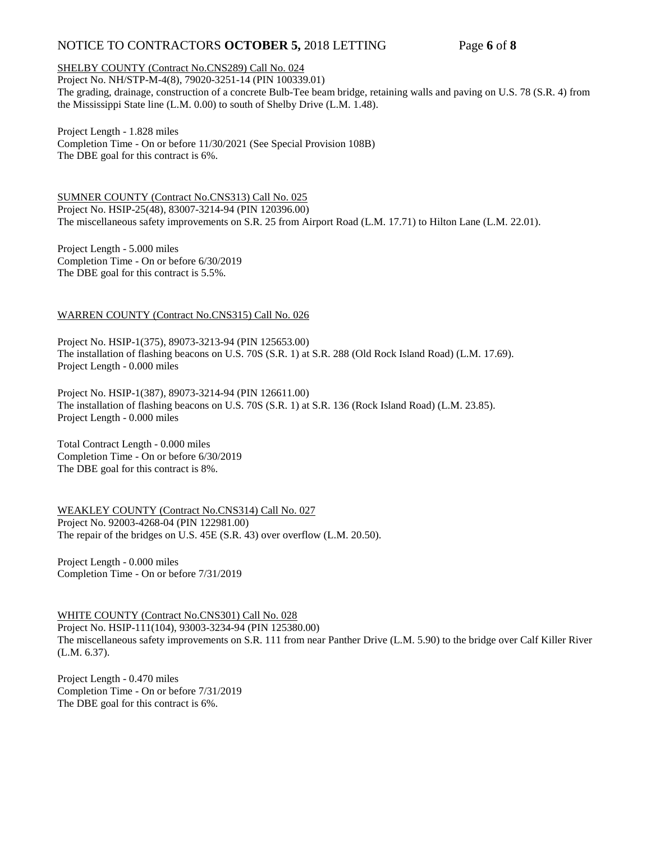# NOTICE TO CONTRACTORS **OCTOBER 5,** 2018 LETTING Page **6** of **8**

#### SHELBY COUNTY (Contract No.CNS289) Call No. 024

Project No. NH/STP-M-4(8), 79020-3251-14 (PIN 100339.01) The grading, drainage, construction of a concrete Bulb-Tee beam bridge, retaining walls and paving on U.S. 78 (S.R. 4) from the Mississippi State line (L.M. 0.00) to south of Shelby Drive (L.M. 1.48).

Project Length - 1.828 miles

Completion Time - On or before 11/30/2021 (See Special Provision 108B) The DBE goal for this contract is 6%.

SUMNER COUNTY (Contract No.CNS313) Call No. 025 Project No. HSIP-25(48), 83007-3214-94 (PIN 120396.00) The miscellaneous safety improvements on S.R. 25 from Airport Road (L.M. 17.71) to Hilton Lane (L.M. 22.01).

Project Length - 5.000 miles Completion Time - On or before 6/30/2019 The DBE goal for this contract is 5.5%.

#### WARREN COUNTY (Contract No.CNS315) Call No. 026

Project No. HSIP-1(375), 89073-3213-94 (PIN 125653.00) The installation of flashing beacons on U.S. 70S (S.R. 1) at S.R. 288 (Old Rock Island Road) (L.M. 17.69). Project Length - 0.000 miles

Project No. HSIP-1(387), 89073-3214-94 (PIN 126611.00) The installation of flashing beacons on U.S. 70S (S.R. 1) at S.R. 136 (Rock Island Road) (L.M. 23.85). Project Length - 0.000 miles

Total Contract Length - 0.000 miles Completion Time - On or before 6/30/2019 The DBE goal for this contract is 8%.

WEAKLEY COUNTY (Contract No.CNS314) Call No. 027 Project No. 92003-4268-04 (PIN 122981.00) The repair of the bridges on U.S. 45E (S.R. 43) over overflow (L.M. 20.50).

Project Length - 0.000 miles Completion Time - On or before 7/31/2019

WHITE COUNTY (Contract No.CNS301) Call No. 028

Project No. HSIP-111(104), 93003-3234-94 (PIN 125380.00) The miscellaneous safety improvements on S.R. 111 from near Panther Drive (L.M. 5.90) to the bridge over Calf Killer River (L.M. 6.37).

Project Length - 0.470 miles Completion Time - On or before 7/31/2019 The DBE goal for this contract is 6%.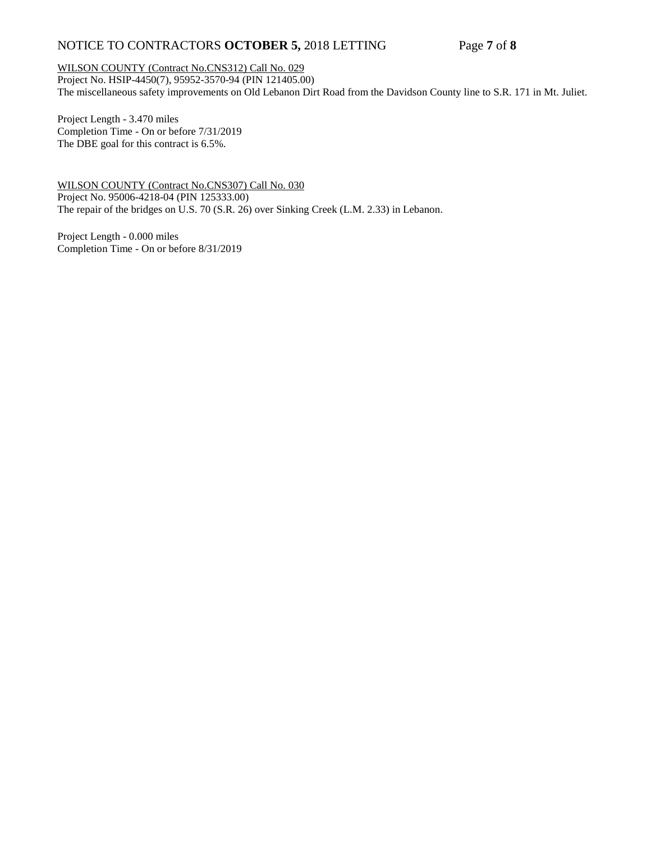# NOTICE TO CONTRACTORS **OCTOBER 5,** 2018 LETTING Page **7** of **8**

WILSON COUNTY (Contract No.CNS312) Call No. 029

Project No. HSIP-4450(7), 95952-3570-94 (PIN 121405.00) The miscellaneous safety improvements on Old Lebanon Dirt Road from the Davidson County line to S.R. 171 in Mt. Juliet.

Project Length - 3.470 miles Completion Time - On or before 7/31/2019 The DBE goal for this contract is 6.5%.

WILSON COUNTY (Contract No.CNS307) Call No. 030 Project No. 95006-4218-04 (PIN 125333.00) The repair of the bridges on U.S. 70 (S.R. 26) over Sinking Creek (L.M. 2.33) in Lebanon.

Project Length - 0.000 miles Completion Time - On or before 8/31/2019